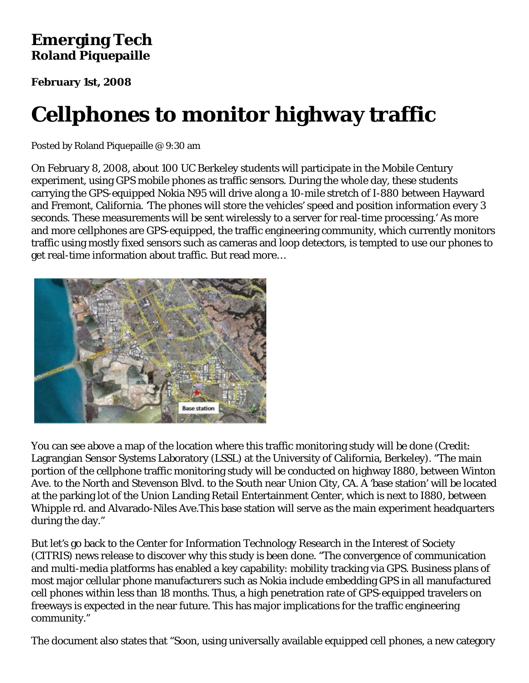### **Emerging Tech Roland Piquepaille**

**February 1st, 2008**

# **Cellphones to monitor highway traffic**

Posted by Roland Piquepaille @ 9:30 am

On February 8, 2008, about 100 UC Berkeley students will participate in the Mobile Century experiment, using GPS mobile phones as traffic sensors. During the whole day, these students carrying the GPS-equipped Nokia N95 will drive along a 10-mile stretch of I-880 between Hayward and Fremont, California. 'The phones will store the vehicles' speed and position information every 3 seconds. These measurements will be sent wirelessly to a server for real-time processing.' As more and more cellphones are GPS-equipped, the traffic engineering community, which currently monitors traffic using mostly fixed sensors such as cameras and loop detectors, is tempted to use our phones to get real-time information about traffic. But read more…



You can see above a map of the location where this traffic monitoring study will be done (Credit: Lagrangian Sensor Systems Laboratory (LSSL) at the University of California, Berkeley). "The main portion of the cellphone traffic monitoring study will be conducted on highway I880, between Winton Ave. to the North and Stevenson Blvd. to the South near Union City, CA. A 'base station' will be located at the parking lot of the Union Landing Retail Entertainment Center, which is next to I880, between Whipple rd. and Alvarado-Niles Ave.This base station will serve as the main experiment headquarters during the day."

But let's go back to the Center for Information Technology Research in the Interest of Society (CITRIS) news release to discover why this study is been done. "The convergence of communication and multi-media platforms has enabled a key capability: mobility tracking via GPS. Business plans of most major cellular phone manufacturers such as Nokia include embedding GPS in all manufactured cell phones within less than 18 months. Thus, a high penetration rate of GPS-equipped travelers on freeways is expected in the near future. This has major implications for the traffic engineering community."

The document also states that "Soon, using universally available equipped cell phones, a new category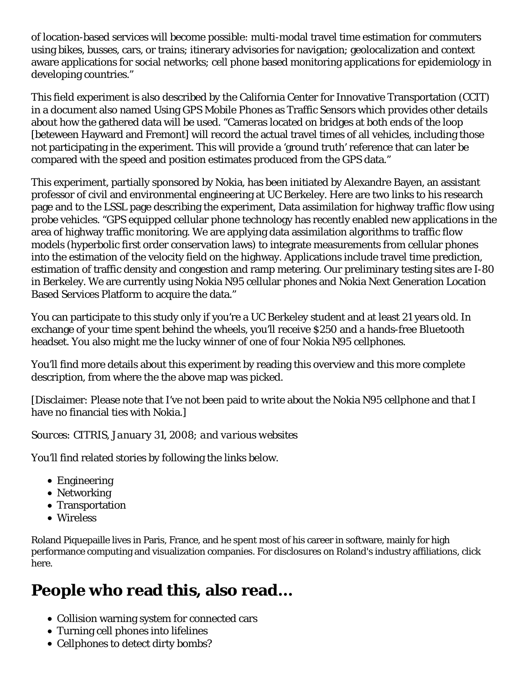of location-based services will become possible: multi-modal travel time estimation for commuters using bikes, busses, cars, or trains; itinerary advisories for navigation; geolocalization and context aware applications for social networks; cell phone based monitoring applications for epidemiology in developing countries."

This field experiment is also described by the California Center for Innovative Transportation (CCIT) in a document also named Using GPS Mobile Phones as Traffic Sensors which provides other details about how the gathered data will be used. "Cameras located on bridges at both ends of the loop [beteween Hayward and Fremont] will record the actual travel times of all vehicles, including those not participating in the experiment. This will provide a 'ground truth' reference that can later be compared with the speed and position estimates produced from the GPS data."

This experiment, partially sponsored by Nokia, has been initiated by Alexandre Bayen, an assistant professor of civil and environmental engineering at UC Berkeley. Here are two links to his research page and to the LSSL page describing the experiment, Data assimilation for highway traffic flow using probe vehicles. "GPS equipped cellular phone technology has recently enabled new applications in the area of highway traffic monitoring. We are applying data assimilation algorithms to traffic flow models (hyperbolic first order conservation laws) to integrate measurements from cellular phones into the estimation of the velocity field on the highway. Applications include travel time prediction, estimation of traffic density and congestion and ramp metering. Our preliminary testing sites are I-80 in Berkeley. We are currently using Nokia N95 cellular phones and Nokia Next Generation Location Based Services Platform to acquire the data."

You can participate to this study only if you're a UC Berkeley student and at least 21 years old. In exchange of your time spent behind the wheels, you'll receive \$250 and a hands-free Bluetooth headset. You also might me the lucky winner of one of four Nokia N95 cellphones.

You'll find more details about this experiment by reading this overview and this more complete description, from where the the above map was picked.

[Disclaimer: Please note that I've not been paid to write about the Nokia N95 cellphone and that I have no financial ties with Nokia.]

#### *Sources: CITRIS, January 31, 2008; and various websites*

You'll find related stories by following the links below.

- Engineering
- Networking
- Transportation
- Wireless

Roland Piquepaille lives in Paris, France, and he spent most of his career in software, mainly for high performance computing and visualization companies. For disclosures on Roland's industry affiliations, click here.

# **People who read this, also read...**

- Collision warning system for connected cars
- Turning cell phones into lifelines
- Cellphones to detect dirty bombs?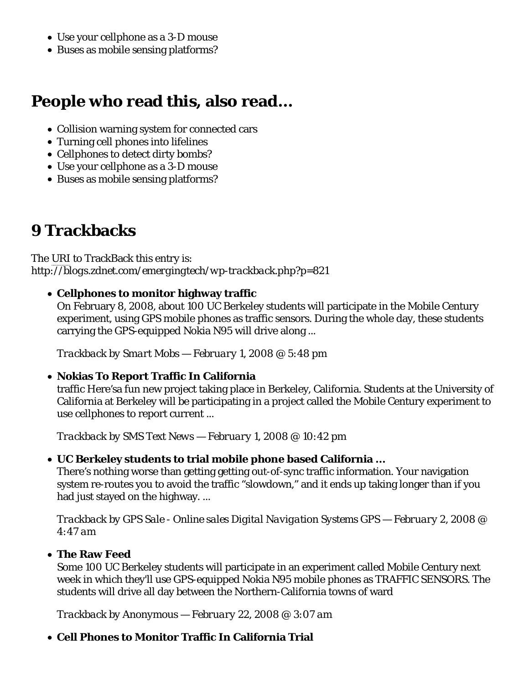- Use your cellphone as a 3-D mouse
- Buses as mobile sensing platforms?

### **People who read this, also read...**

- Collision warning system for connected cars
- Turning cell phones into lifelines
- Cellphones to detect dirty bombs?
- Use your cellphone as a 3-D mouse
- Buses as mobile sensing platforms?

### **9 Trackbacks**

The URI to TrackBack this entry is: *http://blogs.zdnet.com/emergingtech/wp-trackback.php?p=821*

#### **Cellphones to monitor highway traffic**

On February 8, 2008, about 100 UC Berkeley students will participate in the Mobile Century experiment, using GPS mobile phones as traffic sensors. During the whole day, these students carrying the GPS-equipped Nokia N95 will drive along ...

*Trackback by Smart Mobs — February 1, 2008 @ 5:48 pm*

#### **Nokias To Report Traffic In California**

traffic Here'sa fun new project taking place in Berkeley, California. Students at the University of California at Berkeley will be participating in a project called the Mobile Century experiment to use cellphones to report current ...

*Trackback by SMS Text News — February 1, 2008 @ 10:42 pm*

#### **UC Berkeley students to trial mobile phone based California ...**

There's nothing worse than getting getting out-of-sync traffic information. Your navigation system re-routes you to avoid the traffic "slowdown," and it ends up taking longer than if you had just stayed on the highway. ...

*Trackback by GPS Sale - Online sales Digital Navigation Systems GPS — February 2, 2008 @ 4:47 am*

#### **The Raw Feed**

Some 100 UC Berkeley students will participate in an experiment called Mobile Century next week in which they'll use GPS-equipped Nokia N95 mobile phones as TRAFFIC SENSORS. The students will drive all day between the Northern-California towns of ward

*Trackback by Anonymous — February 22, 2008 @ 3:07 am*

#### **Cell Phones to Monitor Traffic In California Trial**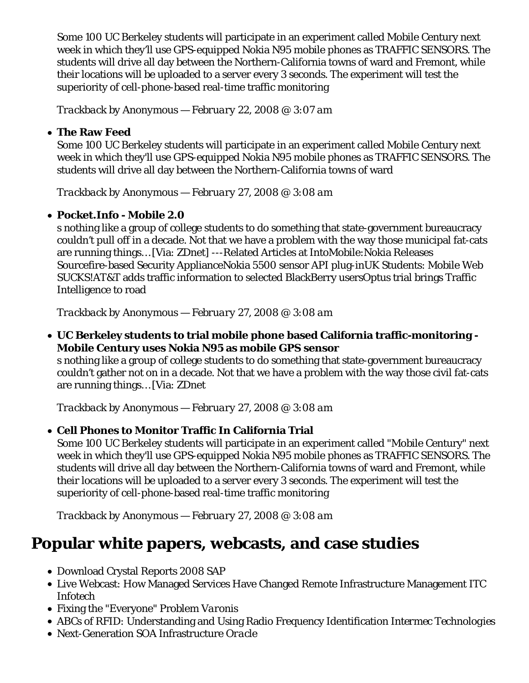Some 100 UC Berkeley students will participate in an experiment called Mobile Century next week in which they'll use GPS-equipped Nokia N95 mobile phones as TRAFFIC SENSORS. The students will drive all day between the Northern-California towns of ward and Fremont, while their locations will be uploaded to a server every 3 seconds. The experiment will test the superiority of cell-phone-based real-time traffic monitoring

*Trackback by Anonymous — February 22, 2008 @ 3:07 am*

#### **The Raw Feed**

Some 100 UC Berkeley students will participate in an experiment called Mobile Century next week in which they'll use GPS-equipped Nokia N95 mobile phones as TRAFFIC SENSORS. The students will drive all day between the Northern-California towns of ward

*Trackback by Anonymous — February 27, 2008 @ 3:08 am*

#### **Pocket.Info - Mobile 2.0**

s nothing like a group of college students to do something that state-government bureaucracy couldn't pull off in a decade. Not that we have a problem with the way those municipal fat-cats are running things… [Via: ZDnet] ---Related Articles at IntoMobile:Nokia Releases Sourcefire-based Security ApplianceNokia 5500 sensor API plug-inUK Students: Mobile Web SUCKS!AT&T adds traffic information to selected BlackBerry usersOptus trial brings Traffic Intelligence to road

*Trackback by Anonymous — February 27, 2008 @ 3:08 am*

**UC Berkeley students to trial mobile phone based California traffic-monitoring - Mobile Century uses Nokia N95 as mobile GPS sensor**

s nothing like a group of college students to do something that state-government bureaucracy couldn't gather not on in a decade. Not that we have a problem with the way those civil fat-cats are running things… [Via: ZDnet

*Trackback by Anonymous — February 27, 2008 @ 3:08 am*

#### **Cell Phones to Monitor Traffic In California Trial**

Some 100 UC Berkeley students will participate in an experiment called "Mobile Century" next week in which they'll use GPS-equipped Nokia N95 mobile phones as TRAFFIC SENSORS. The students will drive all day between the Northern-California towns of ward and Fremont, while their locations will be uploaded to a server every 3 seconds. The experiment will test the superiority of cell-phone-based real-time traffic monitoring

*Trackback by Anonymous — February 27, 2008 @ 3:08 am*

## **Popular white papers, webcasts, and case studies**

- Download Crystal Reports 2008 *SAP*
- Live Webcast: How Managed Services Have Changed Remote Infrastructure Management *ITC Infotech*
- Fixing the "Everyone" Problem *Varonis*
- ABCs of RFID: Understanding and Using Radio Frequency Identification *Intermec Technologies*
- Next-Generation SOA Infrastructure *Oracle*